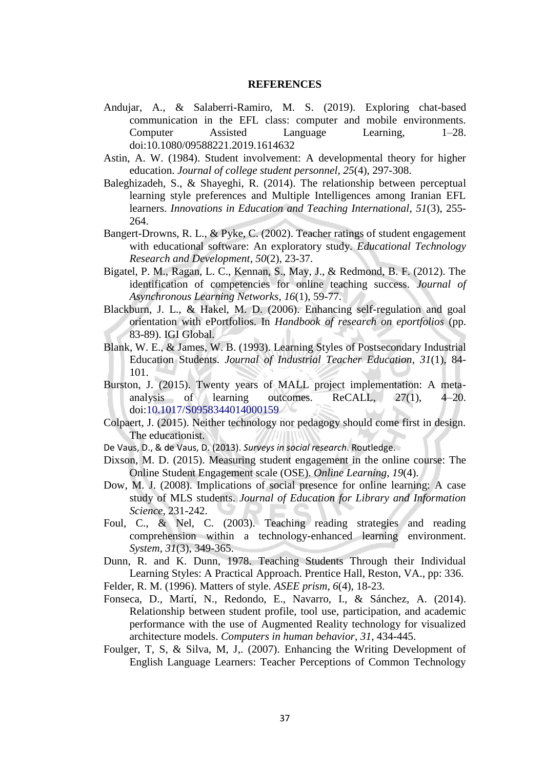## **REFERENCES**

- Andujar, A., & Salaberri-Ramiro, M. S. (2019). Exploring chat-based communication in the EFL class: computer and mobile environments. Computer Assisted Language Learning, 1–28. doi:10.1080/09588221.2019.1614632
- Astin, A. W. (1984). Student involvement: A developmental theory for higher education. *Journal of college student personnel*, *25*(4), 297-308.
- Baleghizadeh, S., & Shayeghi, R. (2014). The relationship between perceptual learning style preferences and Multiple Intelligences among Iranian EFL learners. *Innovations in Education and Teaching International*, *51*(3), 255- 264.
- Bangert-Drowns, R. L., & Pyke, C. (2002). Teacher ratings of student engagement with educational software: An exploratory study. *Educational Technology Research and Development*, *50*(2), 23-37.
- Bigatel, P. M., Ragan, L. C., Kennan, S., May, J., & Redmond, B. F. (2012). The identification of competencies for online teaching success. *Journal of Asynchronous Learning Networks*, *16*(1), 59-77.
- Blackburn, J. L., & Hakel, M. D. (2006). Enhancing self-regulation and goal orientation with ePortfolios. In *Handbook of research on eportfolios* (pp. 83-89). IGI Global.
- Blank, W. E., & James, W. B. (1993). Learning Styles of Postsecondary Industrial Education Students. *Journal of Industrial Teacher Education*, *31*(1), 84- 101.
- Burston, J. (2015). Twenty years of MALL project implementation: A metaanalysis of learning outcomes. ReCALL, 27(1), 4–20. doi:10.1017/S0958344014000159
- Colpaert, J. (2015). Neither technology nor pedagogy should come first in design. The educationist.
- De Vaus, D., & de Vaus, D. (2013). *Surveys in social research*. Routledge.
- Dixson, M. D. (2015). Measuring student engagement in the online course: The Online Student Engagement scale (OSE). *Online Learning*, *19*(4).
- Dow, M. J. (2008). Implications of social presence for online learning: A case study of MLS students. *Journal of Education for Library and Information Science*, 231-242.
- Foul, C., & Nel, C. (2003). Teaching reading strategies and reading comprehension within a technology-enhanced learning environment. *System*, *31*(3), 349-365.
- Dunn, R. and K. Dunn, 1978. Teaching Students Through their Individual Learning Styles: A Practical Approach. Prentice Hall, Reston, VA., pp: 336. Felder, R. M. (1996). Matters of style. *ASEE prism*, *6*(4), 18-23.
- 
- Fonseca, D., Martí, N., Redondo, E., Navarro, I., & Sánchez, A. (2014). Relationship between student profile, tool use, participation, and academic performance with the use of Augmented Reality technology for visualized architecture models. *Computers in human behavior*, *31*, 434-445.
- Foulger, T, S, & Silva, M, J,. (2007). Enhancing the Writing Development of English Language Learners: Teacher Perceptions of Common Technology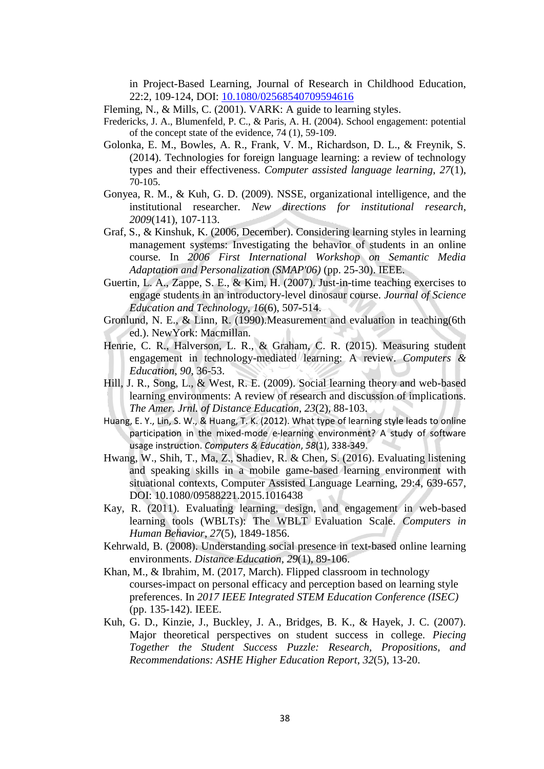in Project-Based Learning, Journal of Research in Childhood Education, 22:2, 109-124, DOI: [10.1080/02568540709594616](https://doi.org/10.1080/02568540709594616)

- Fleming, N., & Mills, C. (2001). VARK: A guide to learning styles.
- Fredericks, J. A., Blumenfeld, P. C., & Paris, A. H. (2004). School engagement: potential of the concept state of the evidence, 74 (1), 59-109.
- Golonka, E. M., Bowles, A. R., Frank, V. M., Richardson, D. L., & Freynik, S. (2014). Technologies for foreign language learning: a review of technology types and their effectiveness. *Computer assisted language learning*, *27*(1), 70-105.
- Gonyea, R. M., & Kuh, G. D. (2009). NSSE, organizational intelligence, and the institutional researcher. *New directions for institutional research*, *2009*(141), 107-113.
- Graf, S., & Kinshuk, K. (2006, December). Considering learning styles in learning management systems: Investigating the behavior of students in an online course. In *2006 First International Workshop on Semantic Media Adaptation and Personalization (SMAP'06)* (pp. 25-30). IEEE.
- Guertin, L. A., Zappe, S. E., & Kim, H. (2007). Just-in-time teaching exercises to engage students in an introductory-level dinosaur course. *Journal of Science Education and Technology*, *16*(6), 507-514.
- Gronlund, N. E., & Linn, R. (1990).Measurement and evaluation in teaching(6th ed.). NewYork: Macmillan.
- Henrie, C. R., Halverson, L. R., & Graham, C. R. (2015). Measuring student engagement in technology-mediated learning: A review. *Computers & Education*, *90*, 36-53.
- Hill, J. R., Song, L., & West, R. E. (2009). Social learning theory and web-based learning environments: A review of research and discussion of implications. *The Amer. Jrnl. of Distance Education*, *23*(2), 88-103.
- Huang, E. Y., Lin, S. W., & Huang, T. K. (2012). What type of learning style leads to online participation in the mixed-mode e-learning environment? A study of software usage instruction. *Computers & Education*, *58*(1), 338-349.
- Hwang, W., Shih, T., Ma, Z., Shadiev, R. & Chen, S. (2016). Evaluating listening and speaking skills in a mobile game-based learning environment with situational contexts, Computer Assisted Language Learning, 29:4, 639-657, DOI: [10.1080/09588221.2015.1016438](https://doi.org/10.1080/09588221.2015.1016438)
- Kay, R. (2011). Evaluating learning, design, and engagement in web-based learning tools (WBLTs): The WBLT Evaluation Scale. *Computers in Human Behavior*, *27*(5), 1849-1856.
- Kehrwald, B. (2008). Understanding social presence in text-based online learning environments. *Distance Education*, *29*(1), 89-106.
- Khan, M., & Ibrahim, M. (2017, March). Flipped classroom in technology courses-impact on personal efficacy and perception based on learning style preferences. In *2017 IEEE Integrated STEM Education Conference (ISEC)* (pp. 135-142). IEEE.
- Kuh, G. D., Kinzie, J., Buckley, J. A., Bridges, B. K., & Hayek, J. C. (2007). Major theoretical perspectives on student success in college. *Piecing Together the Student Success Puzzle: Research, Propositions, and Recommendations: ASHE Higher Education Report*, *32*(5), 13-20.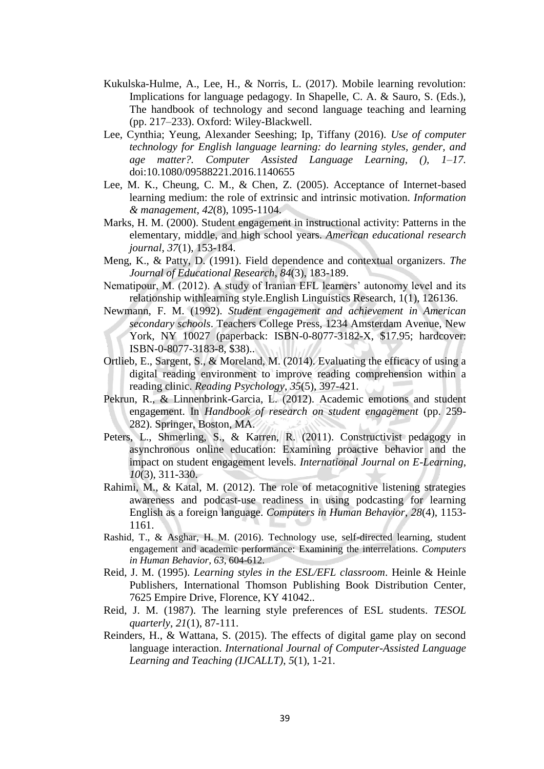- Kukulska-Hulme, A., Lee, H., & Norris, L. (2017). Mobile learning revolution: Implications for language pedagogy. In Shapelle, C. A. & Sauro, S. (Eds.), The handbook of technology and second language teaching and learning (pp. 217–233). Oxford: Wiley-Blackwell.
- Lee, Cynthia; Yeung, Alexander Seeshing; Ip, Tiffany (2016). *Use of computer technology for English language learning: do learning styles, gender, and age matter?. Computer Assisted Language Learning, (), 1–17.*  doi:10.1080/09588221.2016.1140655
- Lee, M. K., Cheung, C. M., & Chen, Z. (2005). Acceptance of Internet-based learning medium: the role of extrinsic and intrinsic motivation. *Information & management*, *42*(8), 1095-1104.
- Marks, H. M. (2000). Student engagement in instructional activity: Patterns in the elementary, middle, and high school years. *American educational research journal*, *37*(1), 153-184.
- Meng, K., & Patty, D. (1991). Field dependence and contextual organizers. *The Journal of Educational Research*, *84*(3), 183-189.
- Nematipour, M. (2012). A study of Iranian EFL learners' autonomy level and its relationship withlearning style.English Linguistics Research, 1(1), 126136.
- Newmann, F. M. (1992). *Student engagement and achievement in American secondary schools*. Teachers College Press, 1234 Amsterdam Avenue, New York, NY 10027 (paperback: ISBN-0-8077-3182-X, \$17.95; hardcover: ISBN-0-8077-3183-8, \$38)..
- Ortlieb, E., Sargent, S., & Moreland, M. (2014). Evaluating the efficacy of using a digital reading environment to improve reading comprehension within a reading clinic. *Reading Psychology*, *35*(5), 397-421.
- Pekrun, R., & Linnenbrink-Garcia, L. (2012). Academic emotions and student engagement. In *Handbook of research on student engagement* (pp. 259- 282). Springer, Boston, MA.
- Peters, L., Shmerling, S., & Karren, R. (2011). Constructivist pedagogy in asynchronous online education: Examining proactive behavior and the impact on student engagement levels. *International Journal on E-Learning*, *10*(3), 311-330.
- Rahimi, M., & Katal, M. (2012). The role of metacognitive listening strategies awareness and podcast-use readiness in using podcasting for learning English as a foreign language. *Computers in Human Behavior*, *28*(4), 1153- 1161.
- Rashid, T., & Asghar, H. M. (2016). Technology use, self-directed learning, student engagement and academic performance: Examining the interrelations. *Computers in Human Behavior*, *63*, 604-612.
- Reid, J. M. (1995). *Learning styles in the ESL/EFL classroom*. Heinle & Heinle Publishers, International Thomson Publishing Book Distribution Center, 7625 Empire Drive, Florence, KY 41042..
- Reid, J. M. (1987). The learning style preferences of ESL students. *TESOL quarterly*, *21*(1), 87-111.
- Reinders, H., & Wattana, S. (2015). The effects of digital game play on second language interaction. *International Journal of Computer-Assisted Language Learning and Teaching (IJCALLT)*, *5*(1), 1-21.